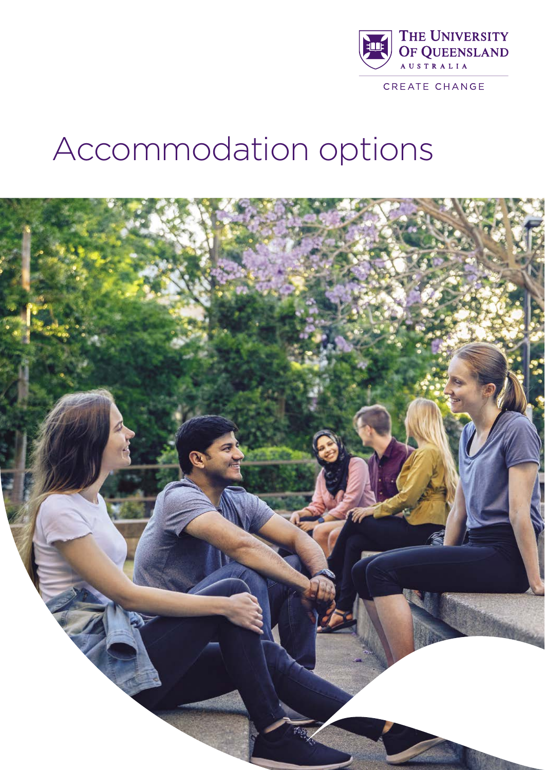

CREATE CHANGE

# Accommodation options

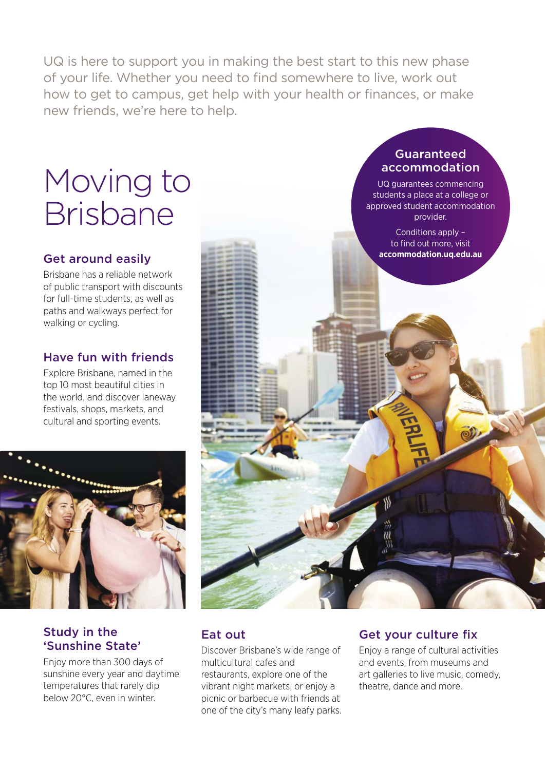UQ is here to support you in making the best start to this new phase of your life. Whether you need to find somewhere to live, work out how to get to campus, get help with your health or finances, or make new friends, we're here to help.

# Moving to Brisbane

#### Get around easily

Brisbane has a reliable network of public transport with discounts for full-time students, as well as paths and walkways perfect for walking or cycling.

### Have fun with friends

Explore Brisbane, named in the top 10 most beautiful cities in the world, and discover laneway festivals, shops, markets, and cultural and sporting events.



### Study in the 'Sunshine State'

Enjoy more than 300 days of sunshine every year and daytime temperatures that rarely dip below 20°C, even in winter.



#### Eat out

Discover Brisbane's wide range of multicultural cafes and restaurants, explore one of the vibrant night markets, or enjoy a picnic or barbecue with friends at one of the city's many leafy parks.

#### Get your culture fix

Enjoy a range of cultural activities and events, from museums and art galleries to live music, comedy, theatre, dance and more.

Guaranteed accommodation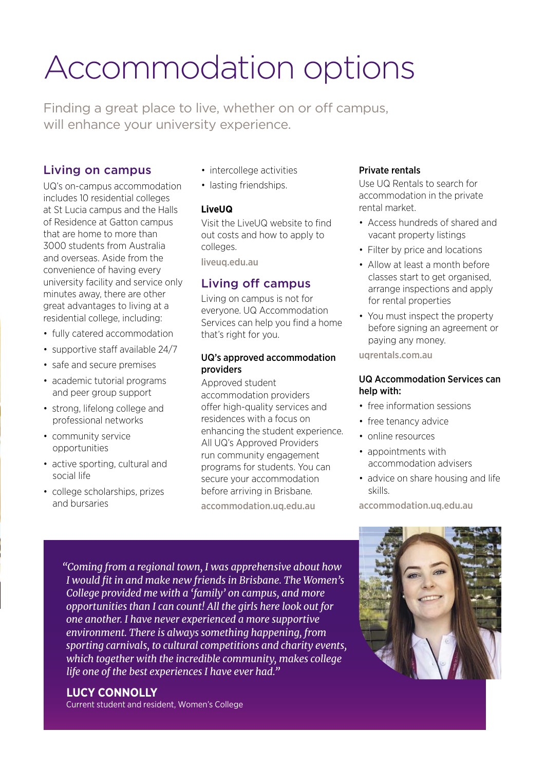# Accommodation options

Finding a great place to live, whether on or off campus, will enhance your university experience.

#### Living on campus

UQ's on-campus accommodation includes 10 residential colleges at St Lucia campus and the Halls of Residence at Gatton campus that are home to more than 3000 students from Australia and overseas. Aside from the convenience of having every university facility and service only minutes away, there are other great advantages to living at a residential college, including:

- fully catered accommodation
- supportive staff available 24/7
- safe and secure premises
- academic tutorial programs and peer group support
- strong, lifelong college and professional networks
- community service opportunities
- active sporting, cultural and social life
- college scholarships, prizes and bursaries
- intercollege activities
- lasting friendships.

#### **LiveUQ**

Visit the LiveUQ website to find out costs and how to apply to colleges.

[liveuq.edu.au](http://liveuq.edu.au)

#### Living off campus

Living on campus is not for everyone. UQ Accommodation Services can help you find a home that's right for you.

#### UQ's approved accommodation providers

Approved student accommodation providers offer high-quality services and residences with a focus on enhancing the student experience. All UQ's Approved Providers run community engagement programs for students. You can secure your accommodation before arriving in Brisbane. [accommodation.uq.edu.au](http://accommodation.uq.edu.au)

#### Private rentals

Use UQ Rentals to search for accommodation in the private rental market.

- Access hundreds of shared and vacant property listings
- Filter by price and locations
- Allow at least a month before classes start to get organised, arrange inspections and apply for rental properties
- You must inspect the property before signing an agreement or paying any money.

[uqrentals.com.au](http://uqrentals.com.au)

#### UQ Accommodation Services can help with:

- free information sessions
- free tenancy advice
- online resources
- appointments with accommodation advisers
- advice on share housing and life skills.

[accommodation.uq.edu.au](http://accommodation.uq.edu.au)

*"Coming from a regional town, I was apprehensive about how I would fit in and make new friends in Brisbane. The Women's College provided me with a 'family' on campus, and more opportunities than I can count! All the girls here look out for one another. I have never experienced a more supportive environment. There is always something happening, from sporting carnivals, to cultural competitions and charity events, which together with the incredible community, makes college life one of the best experiences I have ever had."*

#### **LUCY CONNOLLY**

Current student and resident, Women's College

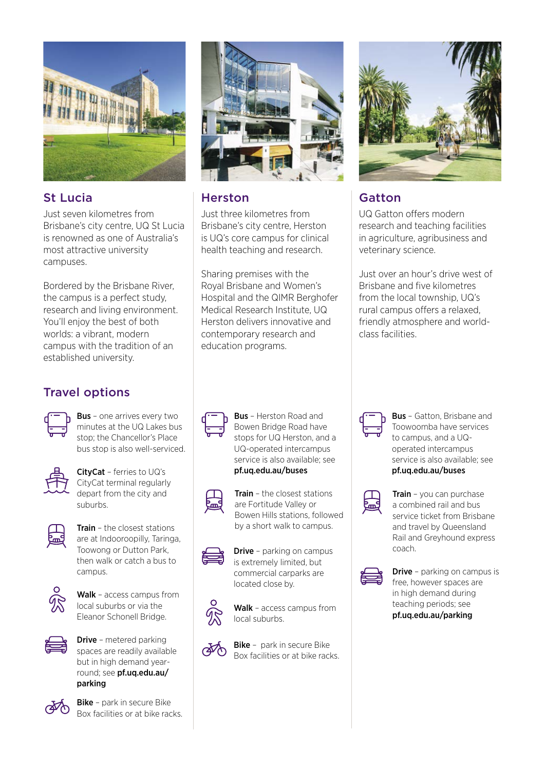

### St Lucia

Just seven kilometres from Brisbane's city centre, UQ St Lucia is renowned as one of Australia's most attractive university campuses.

Bordered by the Brisbane River, the campus is a perfect study, research and living environment. You'll enjoy the best of both worlds: a vibrant, modern campus with the tradition of an established university.

# Travel options



**Bus** - one arrives every two minutes at the UQ Lakes bus stop; the Chancellor's Place bus stop is also well-serviced.



CityCat – ferries to UQ's CityCat terminal regularly depart from the city and suburbs.



Train - the closest stations are at Indooroopilly, Taringa, Toowong or Dutton Park, then walk or catch a bus to campus.



Walk - access campus from local suburbs or via the Eleanor Schonell Bridge.



Drive – metered parking spaces are readily available but in high demand yearround; see [pf.uq.edu.au/](http://www.pf.uq.edu.au/parking) [parking](http://www.pf.uq.edu.au/parking)



Bike - park in secure Bike Box facilities or at bike racks.



### Herston

Just three kilometres from Brisbane's city centre, Herston is UQ's core campus for clinical health teaching and research.

Sharing premises with the Royal Brisbane and Women's Hospital and the QIMR Berghofer Medical Research Institute, UQ Herston delivers innovative and contemporary research and education programs.

## Gatton

UQ Gatton offers modern research and teaching facilities in agriculture, agribusiness and veterinary science.

Just over an hour's drive west of Brisbane and five kilometres from the local township, UQ's rural campus offers a relaxed, friendly atmosphere and worldclass facilities.



Bus – Herston Road and Bowen Bridge Road have stops for UQ Herston, and a UQ-operated intercampus service is also available; see [pf.uq.edu.au/buses](http://www.pf.uq.edu.au/buses)



Train – the closest stations are Fortitude Valley or Bowen Hills stations, followed by a short walk to campus.



**Drive** – parking on campus is extremely limited, but commercial carparks are located close by.



Walk - access campus from local suburbs.



**Bike** - park in secure Bike Box facilities or at bike racks.



Bus – Gatton, Brisbane and Toowoomba have services to campus, and a UQoperated intercampus service is also available; see [pf.uq.edu.au/buses](http://www.pf.uq.edu.au/buses)



Train - you can purchase a combined rail and bus service ticket from Brisbane and travel by Queensland Rail and Greyhound express coach.



**Drive** - parking on campus is free, however spaces are in high demand during teaching periods; see [pf.uq.edu.au/parking](http://www.pf.uq.edu.au/parking)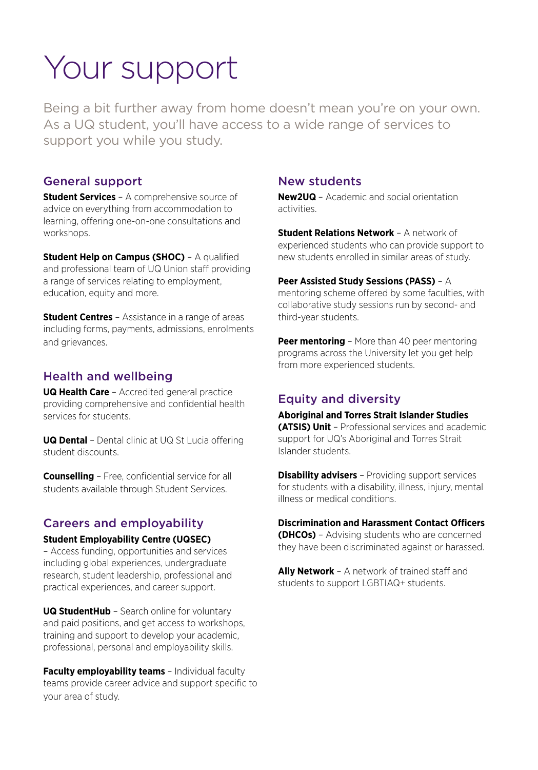# Your support

Being a bit further away from home doesn't mean you're on your own. As a UQ student, you'll have access to a wide range of services to support you while you study.

#### General support

**Student Services** – A comprehensive source of advice on everything from accommodation to learning, offering one-on-one consultations and workshops.

**Student Help on Campus (SHOC)** – A qualified and professional team of UQ Union staff providing a range of services relating to employment, education, equity and more.

**Student Centres** – Assistance in a range of areas including forms, payments, admissions, enrolments and grievances.

### Health and wellbeing

**UQ Health Care** – Accredited general practice providing comprehensive and confidential health services for students.

**UQ Dental** – Dental clinic at UQ St Lucia offering student discounts.

**Counselling** – Free, confidential service for all students available through Student Services.

#### Careers and employability

#### **Student Employability Centre (UQSEC)**

– Access funding, opportunities and services including global experiences, undergraduate research, student leadership, professional and practical experiences, and career support.

**UQ StudentHub** – Search online for voluntary and paid positions, and get access to workshops, training and support to develop your academic, professional, personal and employability skills.

**Faculty employability teams** – Individual faculty teams provide career advice and support specific to your area of study.

#### New students

**New2UQ** – Academic and social orientation activities.

**Student Relations Network** – A network of experienced students who can provide support to new students enrolled in similar areas of study.

#### **Peer Assisted Study Sessions (PASS)** – A

mentoring scheme offered by some faculties, with collaborative study sessions run by second- and third-year students.

**Peer mentoring** – More than 40 peer mentoring programs across the University let you get help from more experienced students.

#### Equity and diversity

**Aboriginal and Torres Strait Islander Studies (ATSIS) Unit** – Professional services and academic

support for UQ's Aboriginal and Torres Strait Islander students.

**Disability advisers** – Providing support services for students with a disability, illness, injury, mental illness or medical conditions.

**Discrimination and Harassment Contact Officers (DHCOs)** – Advising students who are concerned they have been discriminated against or harassed.

**Ally Network** – A network of trained staff and students to support LGBTIAQ+ students.